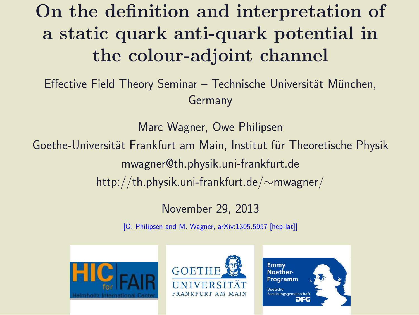### On the definition and interpretation of a static quark anti-quark potential in the colour-adjoint channel

Effective Field Theory Seminar – Technische Universität München, Germany

Marc Wagner, Owe Philipsen Goethe-Universität Frankfurt am Main, Institut für Theoretische Physik mwagner@th.physik.uni-frankfurt.de http://th.physik.uni-frankfurt.de/∼mwagner/

### November 29, 2013

[O. Philipsen and M. Wagner, arXiv:1305.5957 [hep-lat]]





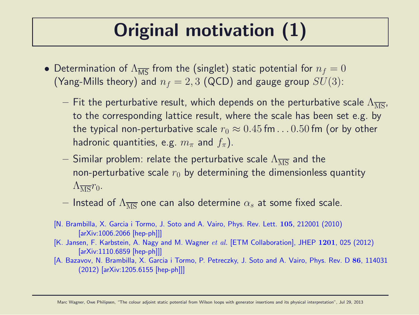### Original motivation (1)

- Determination of  $\Lambda_{\overline{MS}}$  from the (singlet) static potential for  $n_f = 0$ (Yang-Mills theory) and  $n_f = 2, 3$  (QCD) and gauge group  $SU(3)$ :
	- Fit the perturbative result, which depends on the perturbative scale  $\Lambda_{\overline{\rm MS}}$ , to the corresponding lattice result, where the scale has been set e.g. by the typical non-perturbative scale  $r_0 \approx 0.45$  fm... 0.50 fm (or by other hadronic quantities, e.g.  $m_{\pi}$  and  $f_{\pi}$ ).
	- Similar problem: relate the perturbative scale  $\Lambda_{\overline{\rm MS}}$  and the non-perturbative scale  $r_0$  by determining the dimensionless quantity  $\Lambda_{\overline{\rm MS}}r_0$ .
	- Instead of  $\Lambda_{\overline{\text{MS}}}$  one can also determine  $\alpha_s$  at some fixed scale.
	- [N. Brambilla, X. Garcia i Tormo, J. Soto and A. Vairo, Phys. Rev. Lett. 105, 212001 (2010) [arXiv:1006.2066 [hep-ph]]]
	- [K. Jansen, F. Karbstein, A. Nagy and M. Wagner et al. [ETM Collaboration], JHEP 1201, 025 (2012) [arXiv:1110.6859 [hep-ph]]]
	- [A. Bazavov, N. Brambilla, X. Garcia i Tormo, P. Petreczky, J. Soto and A. Vairo, Phys. Rev. D 86, 114031 (2012) [arXiv:1205.6155 [hep-ph]]]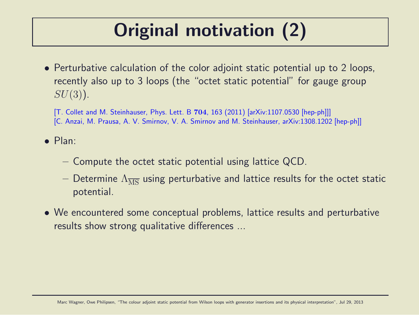# Original motivation (2)

• Perturbative calculation of the color adjoint static potential up to 2 loops, recently also up to 3 loops (the "octet static potential" for gauge group  $SU(3)$ ).

[T. Collet and M. Steinhauser, Phys. Lett. B 704, 163 (2011) [arXiv:1107.0530 [hep-ph]]] [C. Anzai, M. Prausa, A. V. Smirnov, V. A. Smirnov and M. Steinhauser, arXiv:1308.1202 [hep-ph]]

• Plan:

- Compute the octet static potential using lattice QCD.
- Determine  $\Lambda_{\overline{MS}}$  using perturbative and lattice results for the octet static potential.
- We encountered some conceptual problems, lattice results and perturbative results show strong qualitative differences ...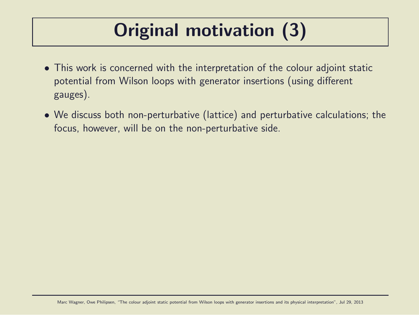# Original motivation (3)

- This work is concerned with the interpretation of the colour adjoint static potential from Wilson loops with generator insertions (using different gauges).
- We discuss both non-perturbative (lattice) and perturbative calculations; the focus, however, will be on the non-perturbative side.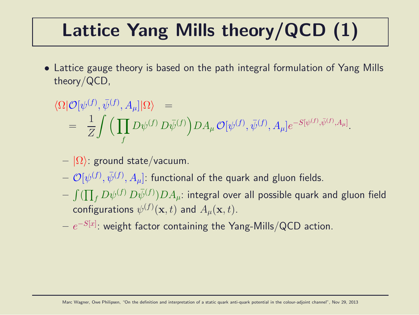## Lattice Yang Mills theory/QCD (1)

• Lattice gauge theory is based on the path integral formulation of Yang Mills theory/QCD,

$$
\langle \Omega | \mathcal{O}[\psi^{(f)}, \bar{\psi}^{(f)}, A_{\mu}] | \Omega \rangle =
$$
  
= 
$$
\frac{1}{Z} \int \left( \prod_{f} D\psi^{(f)} D\bar{\psi}^{(f)} \right) DA_{\mu} \mathcal{O}[\psi^{(f)}, \bar{\psi}^{(f)}, A_{\mu}] e^{-S[\psi^{(f)}, \bar{\psi}^{(f)}, A_{\mu}]}.
$$

- $|\Omega\rangle$ : ground state/vacuum.
- $\left( \mathcal{O}[\psi^{(f)}, \bar{\psi}^{(f)}, A_{\mu}]$ : functional of the quark and gluon fields.
- $\int (\prod_f D \psi^{(f)} \, D \bar \psi^{(f)} ) D A_\mu$ : integral over all possible quark and gluon field configurations  $\psi^{(f)}(\mathbf{x},t)$  and  $A_{\mu}(\mathbf{x},t).$
- $e^{-S[x]}.$  weight factor containing the Yang-Mills/QCD action.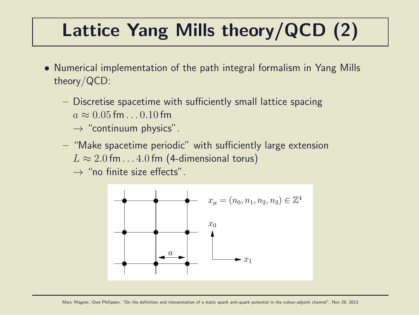# Lattice Yang Mills theory/QCD (2)

- Numerical implementation of the path integral formalism in Yang Mills theory/QCD:
	- Discretise spacetime with sufficiently small lattice spacing  $a \approx 0.05$  fm . . . 0.10 fm
		- $\rightarrow$  "continuum physics".
	- "Make spacetime periodic" with sufficiently large extension  $L \approx 2.0$  fm...4.0 fm (4-dimensional torus)
		- $\rightarrow$  "no finite size effects".

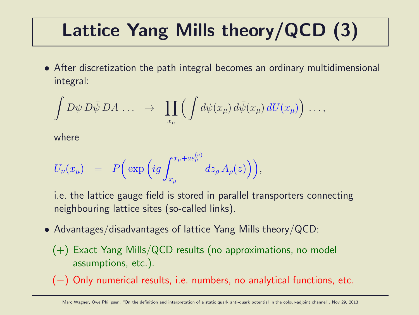# Lattice Yang Mills theory/QCD (3)

• After discretization the path integral becomes an ordinary multidimensional integral:

$$
\int D\psi \, D\bar{\psi} \, DA \, \ldots \quad \rightarrow \quad \prod_{x_{\mu}} \Big( \int d\psi(x_{\mu}) \, d\bar{\psi}(x_{\mu}) \, dU(x_{\mu}) \Big) \, \ldots,
$$

where

$$
U_{\nu}(x_{\mu}) = P\Big(\exp\Big(ig \int_{x_{\mu}}^{x_{\mu}+ae^{(\nu)}_{\mu}}dz_{\rho} A_{\rho}(z)\Big)\Big),\,
$$

i.e. the lattice gauge field is stored in parallel transporters connecting neighbouring lattice sites (so-called links).

- Advantages/disadvantages of lattice Yang Mills theory/QCD:
	- (+) Exact Yang Mills/QCD results (no approximations, no model assumptions, etc.).
	- (−) Only numerical results, i.e. numbers, no analytical functions, etc.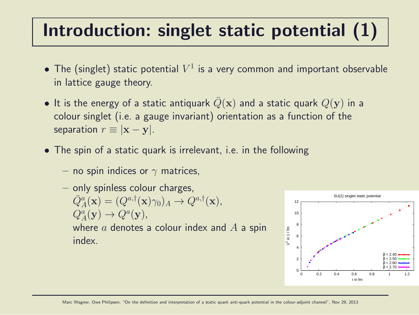# Introduction: singlet static potential (1)

- $\bullet$  The (singlet) static potential  $V^1$  is a very common and important observable in lattice gauge theory.
- It is the energy of a static antiquark  $Q(\mathbf{x})$  and a static quark  $Q(\mathbf{y})$  in a colour singlet (i.e. a gauge invariant) orientation as a function of the separation  $r \equiv |\mathbf{x} - \mathbf{v}|$ .
- The spin of a static quark is irrelevant, i.e. in the following
	- no spin indices or  $\gamma$  matrices,
	- only spinless colour charges,  $\overline{Q}_{A}^{a}(\mathbf{x}) = (Q^{a,\dagger}(\mathbf{x})\gamma_0)_{A} \rightarrow Q^{a,\dagger}(\mathbf{x}),$  $Q_A^a(\mathbf{y}) \to Q^a(\mathbf{y}),$ where  $a$  denotes a colour index and  $A$  a spin index.

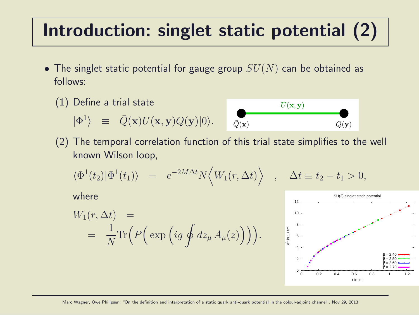### Introduction: singlet static potential (2)

- The singlet static potential for gauge group  $SU(N)$  can be obtained as follows:
	- (1) Define a trial state  $|\Phi^1\rangle \equiv \bar{Q}(\mathbf{x})U(\mathbf{x}, \mathbf{y})Q(\mathbf{y})|0\rangle.$



(2) The temporal correlation function of this trial state simplifies to the well known Wilson loop,

$$
\langle \Phi^1(t_2) | \Phi^1(t_1) \rangle = e^{-2M\Delta t} N \langle W_1(r, \Delta t) \rangle , \quad \Delta t \equiv t_2 - t_1 > 0,
$$

where

$$
W_1(r, \Delta t) =
$$
  
=  $\frac{1}{N} \text{Tr} \Big( P \Big( \exp \Big( ig \oint dz_{\mu} A_{\mu}(z) \Big) \Big) \Big).$ 

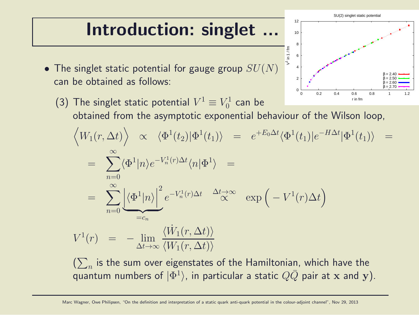### Introduction: singlet ...

• The singlet static potential for gauge group  $SU(N)$ can be obtained as follows:



 $\left(\sum_{n}\right.$  is the sum over eigenstates of the Hamiltonian, which have the quantum numbers of  $|\Phi^1\rangle$ , in particular a static  $Q\bar Q$  pair at x and y).

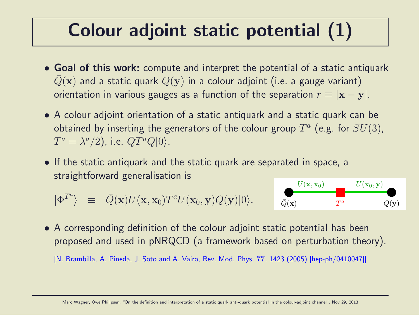### Colour adjoint static potential (1)

- Goal of this work: compute and interpret the potential of a static antiquark  $Q(\mathbf{x})$  and a static quark  $Q(\mathbf{y})$  in a colour adjoint (i.e. a gauge variant) orientation in various gauges as a function of the separation  $r \equiv |\mathbf{x} - \mathbf{y}|$ .
- A colour adjoint orientation of a static antiquark and a static quark can be obtained by inserting the generators of the colour group  $T^a$  (e.g. for  $SU(3)$ ,  $T^a = \lambda^a/2$ ), i.e.  $\bar{Q}T^aQ|0\rangle$ .
- If the static antiquark and the static quark are separated in space, a straightforward generalisation is

$$
|\Phi^{T^a}\rangle \equiv \bar{Q}(\mathbf{x})U(\mathbf{x},\mathbf{x}_0)T^aU(\mathbf{x}_0,\mathbf{y})Q(\mathbf{y})|0\rangle.
$$



• A corresponding definition of the colour adjoint static potential has been proposed and used in pNRQCD (a framework based on perturbation theory).

[N. Brambilla, A. Pineda, J. Soto and A. Vairo, Rev. Mod. Phys. 77, 1423 (2005) [hep-ph/0410047]]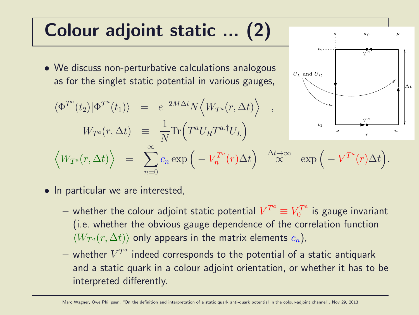### Colour adjoint static ... (2)

- We discuss non-perturbative calculations analogous as for the singlet static potential in various gauges,
- $\langle \Phi^{T^a}(t_2)|\Phi^{T^a}(t_1)\rangle = e^{-2M\Delta t}N\langle W_{T^a}(r,\Delta t)\rangle$ ,  $W_{T^a}(r,\Delta t) \;\;\equiv$ 1 N  $\text{Tr}\left(T^a U_R T^{a,\dagger} U_L\right)$  $\Big\langle W_{T^a}(r,\Delta t) \Big\rangle \hspace{.1in} = \hspace{.1in} \sum$  $\sum^\infty_{n} c_n \exp\Big(-V_n^{T^a}\Big)$  $n=0$  $\mathbb{P}_n^{T^a}(r) \Delta t\Big) \quad \mathbb{\Delta}^{t\rightarrow \infty} \quad \exp\Big(-V^{T^a}(r) \Delta t\Big).$  $t_1$



 $-$  whether the colour adjoint static potential  $V^{T^a}\equiv V^{T^a}_0$  $\frac{U^T}{0}$  is gauge invariant (i.e. whether the obvious gauge dependence of the correlation function  $\langle W_{T^a}(r, \Delta t) \rangle$  only appears in the matrix elements  $c_n$ ),

∆t

r

 $\boldsymbol{T}$ a

 $x_0$  y

T a

 $t_2$ .....

 $U_L$  and  $U_R$ 

 $-$  whether  $V^{T^a}$  indeed corresponds to the potential of a static antiquark and a static quark in a colour adjoint orientation, or whether it has to be interpreted differently.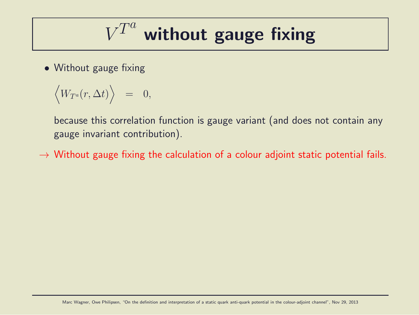$$
V^{T^a}
$$
 without gauge fixing

• Without gauge fixing

$$
\Big\ =\ \ 0,
$$

because this correlation function is gauge variant (and does not contain any gauge invariant contribution).

 $\rightarrow$  Without gauge fixing the calculation of a colour adjoint static potential fails.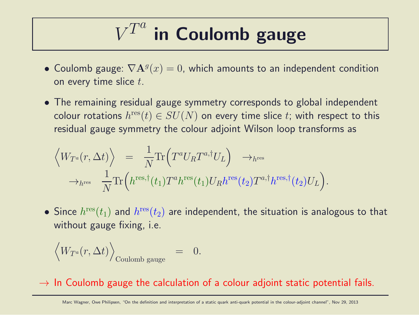#### $V^{T^a}$ in Coulomb gauge

- Coulomb gauge:  $\nabla \mathbf{A}^g(x) = 0$ , which amounts to an independent condition on every time slice  $t$ .
- The remaining residual gauge symmetry corresponds to global independent colour rotations  $h^{\rm res}(t)\in SU(N)$  on every time slice  $t;$  with respect to this residual gauge symmetry the colour adjoint Wilson loop transforms as

$$
\langle W_{T^a}(r, \Delta t) \rangle = \frac{1}{N} \text{Tr} \Big( T^a U_R T^{a, \dagger} U_L \Big) \rightarrow_{h^{\text{res}}} \rightarrow_{h^{\text{res}}} \rightarrow_{h^{\text{res}}} \frac{1}{N} \text{Tr} \Big( h^{\text{res}, \dagger}(t_1) T^a h^{\text{res}}(t_1) U_R h^{\text{res}}(t_2) T^{a, \dagger} h^{\text{res}, \dagger}(t_2) U_L \Big).
$$

 $\bullet$  Since  $h^{\rm{res}}(t_1)$  and  $h^{\rm{res}}(t_2)$  are independent, the situation is analogous to that without gauge fixing, i.e.

$$
\Big_{\text{Coulomb gauge}}\quad=\quad 0.
$$

 $\rightarrow$  In Coulomb gauge the calculation of a colour adjoint static potential fails.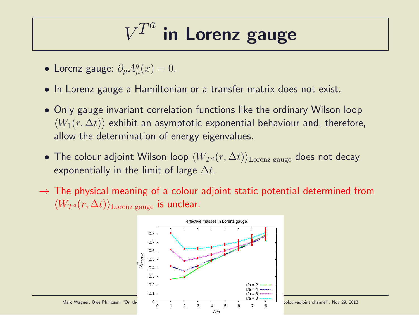#### V  $\overline{T}$  $\overline{a}$ in Lorenz gauge

- Lorenz gauge:  $\partial_{\mu}A_{\mu}^{g}$  $_{\mu}^{g}(x)=0.$
- In Lorenz gauge a Hamiltonian or a transfer matrix does not exist.
- Only gauge invariant correlation functions like the ordinary Wilson loop  $\langle W_1(r, \Delta t) \rangle$  exhibit an asymptotic exponential behaviour and, therefore, allow the determination of energy eigenvalues.
- The colour adjoint Wilson loop  $\langle W_{T^a}(r, \Delta t)\rangle_{\text{Lorenz gauge}}$  does not decay exponentially in the limit of large  $\Delta t$ .
- $\rightarrow$  The physical meaning of a colour adjoint static potential determined from  $\langle W_{T^a}(r, \Delta t) \rangle$ <sub>Lorenz gauge</sub> is unclear.

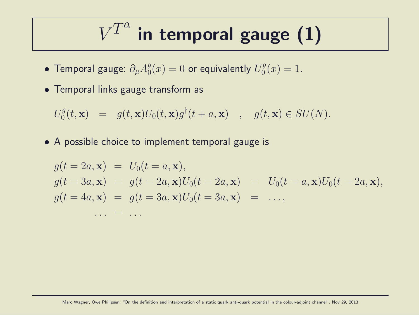#### $V^{T^a}$ in temporal gauge (1)

- Temporal gauge:  $\partial_{\mu}A_{0}^{g}$  $\frac{g}{0}(x)=0$  or equivalently  $U_{0}^{g}$  $_{0}^{9}(x)=1.$
- Temporal links gauge transform as

$$
U_0^g(t, \mathbf{x}) = g(t, \mathbf{x})U_0(t, \mathbf{x})g^{\dagger}(t + a, \mathbf{x}) , g(t, \mathbf{x}) \in SU(N).
$$

• A possible choice to implement temporal gauge is

$$
g(t = 2a, \mathbf{x}) = U_0(t = a, \mathbf{x}),
$$
  
\n
$$
g(t = 3a, \mathbf{x}) = g(t = 2a, \mathbf{x})U_0(t = 2a, \mathbf{x}) = U_0(t = a, \mathbf{x})U_0(t = 2a, \mathbf{x}),
$$
  
\n
$$
g(t = 4a, \mathbf{x}) = g(t = 3a, \mathbf{x})U_0(t = 3a, \mathbf{x}) = \dots,
$$
  
\n
$$
\dots = \dots
$$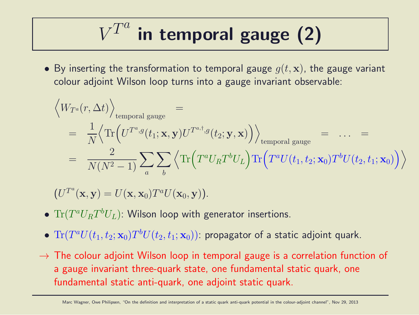$$
V^{T^a}
$$
 in temporal gauge (2)

• By inserting the transformation to temporal gauge  $q(t, \mathbf{x})$ , the gauge variant colour adjoint Wilson loop turns into a gauge invariant observable:

$$
\left\langle W_{T^a}(r, \Delta t) \right\rangle_{\text{temporal gauge}} =
$$
\n
$$
= \frac{1}{N} \left\langle \text{Tr} \left( U^{T^a, g}(t_1; \mathbf{x}, \mathbf{y}) U^{T^{a, \dagger}, g}(t_2; \mathbf{y}, \mathbf{x}) \right) \right\rangle_{\text{temporal gauge}} = \dots =
$$
\n
$$
= \frac{2}{N(N^2 - 1)} \sum_a \sum_b \left\langle \text{Tr} \left( T^a U_R T^b U_L \right) \text{Tr} \left( T^a U(t_1, t_2; \mathbf{x}_0) T^b U(t_2, t_1; \mathbf{x}_0) \right) \right\rangle
$$

 $(U^{T^a}(\mathbf{x}, \mathbf{y}) = U(\mathbf{x}, \mathbf{x}_0) T^a U(\mathbf{x}_0, \mathbf{y})).$ 

- $\bullet$   $\text{Tr}(T^aU_R T^bU_L)$ : Wilson loop with generator insertions.
- $\bullet \; {\rm Tr}(T^a U(t_1,t_2;{\bf x}_0) T^b U(t_2,t_1;{\bf x}_0))$ : propagator of a static adjoint quark.
- $\rightarrow$  The colour adjoint Wilson loop in temporal gauge is a correlation function of a gauge invariant three-quark state, one fundamental static quark, one fundamental static anti-quark, one adjoint static quark.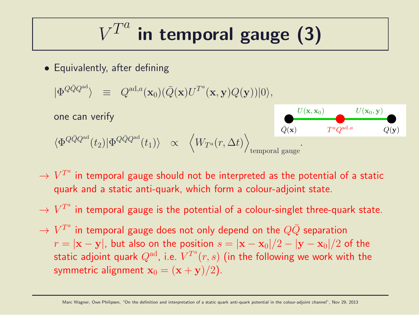$$
V^{T^a}
$$
 in temporal gauge (3)

• Equivalently, after defining

$$
|\Phi^{Q\bar{Q}Q^{\text{ad}}}\rangle \;\;\equiv\;\; Q^{\text{ad},a}(\mathbf{x}_0)(\bar{Q}(\mathbf{x})U^{T^a}(\mathbf{x},\mathbf{y})Q(\mathbf{y}))|0\rangle,
$$

one can verify

$$
\langle \Phi^{Q\bar{Q}Q^{\text{ad}}}(t_2)|\Phi^{Q\bar{Q}Q^{\text{ad}}}(t_1)\rangle \quad \propto \quad \left\langle W_{T^a}(r,\Delta t)\right\rangle_{\text{temporal gauge}}.
$$



- $\rightarrow$   $V^{T^a}$  in temporal gauge should not be interpreted as the potential of a static quark and a static anti-quark, which form a colour-adjoint state.
- $\rightarrow$   $V^{T^a}$  in temporal gauge is the potential of a colour-singlet three-quark state.
- $\rightarrow$   $V^{T^a}$  in temporal gauge does not only depend on the  $Q\bar Q$  separation  $r = |\mathbf{x} - \mathbf{y}|$ , but also on the position  $s = |\mathbf{x} - \mathbf{x}_0|/2 - |\mathbf{y} - \mathbf{x}_0|/2$  of the static adjoint quark  $Q^{\rm ad}$ , i.e.  $V^{T^a}(r,s)$  (in the following we work with the symmetric alignment  $x_0 = (x + y)/2$ .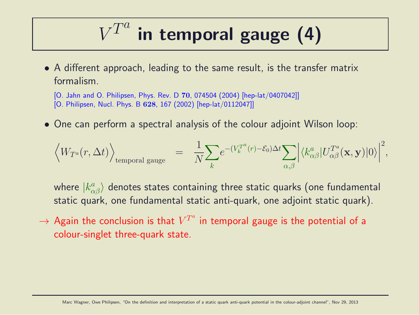#### $V^{T^a}$ in temporal gauge (4)

• A different approach, leading to the same result, is the transfer matrix formalism.

[O. Jahn and O. Philipsen, Phys. Rev. D 70, 074504 (2004) [hep-lat/0407042]] [O. Philipsen, Nucl. Phys. B 628, 167 (2002) [hep-lat/0112047]]

• One can perform a spectral analysis of the colour adjoint Wilson loop:

$$
\Big_{\text{temporal gauge}}\quad =\quad \frac{1}{N}\!\sum_{k} \!e^{-(V_k^{T^a}(r)-\mathcal{E}_0)\Delta t}\!\sum_{\alpha,\beta}\Big|\langle k^a_{\alpha\beta}|U^{T^a}_{\alpha\beta}(\mathbf{x},\mathbf{y})|0\rangle\Big|^2,
$$

where  $|k^{a}_{\alpha\beta}\rangle$  denotes states containing three static quarks (one fundamental static quark, one fundamental static anti-quark, one adjoint static quark).

 $\rightarrow$  Again the conclusion is that  $V^{T^a}$  in temporal gauge is the potential of a colour-singlet three-quark state.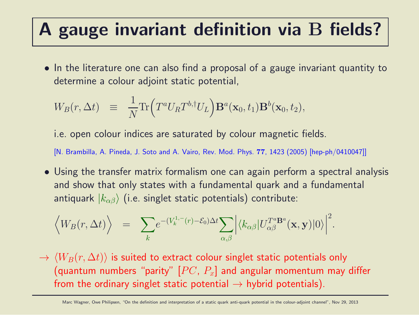### A gauge invariant definition via B fields?

• In the literature one can also find a proposal of a gauge invariant quantity to determine a colour adjoint static potential,

$$
W_B(r, \Delta t) \equiv \frac{1}{N} \text{Tr} \Big( T^a U_R T^{b, \dagger} U_L \Big) \mathbf{B}^a(\mathbf{x}_0, t_1) \mathbf{B}^b(\mathbf{x}_0, t_2),
$$

i.e. open colour indices are saturated by colour magnetic fields.

[N. Brambilla, A. Pineda, J. Soto and A. Vairo, Rev. Mod. Phys. 77, 1423 (2005) [hep-ph/0410047]]

• Using the transfer matrix formalism one can again perform a spectral analysis and show that only states with a fundamental quark and a fundamental antiquark  $|k_{\alpha\beta}\rangle$  (i.e. singlet static potentials) contribute:

$$
\langle W_B(r, \Delta t) \rangle = \sum_{k} e^{-(V_k^{1,-}(r) - \mathcal{E}_0) \Delta t} \sum_{\alpha, \beta} \left| \langle k_{\alpha \beta} | U_{\alpha \beta}^{T^a \mathbf{B}^a}(\mathbf{x}, \mathbf{y}) | 0 \rangle \right|^2.
$$

 $\rightarrow \langle W_B(r, \Delta t) \rangle$  is suited to extract colour singlet static potentials only (quantum numbers "parity"  $[PC, P_x]$  and angular momentum may differ from the ordinary singlet static potential  $\rightarrow$  hybrid potentials).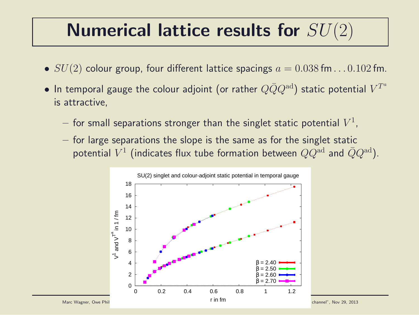### Numerical lattice results for  $SU(2)$

- $SU(2)$  colour group, four different lattice spacings  $a = 0.038$  fm... $0.102$  fm.
- $\bullet$  In temporal gauge the colour adjoint (or rather  $Q\bar Q Q^{\rm ad})$  static potential  $V^{T^a}$ is attractive,
	- $-$  for small separations stronger than the singlet static potential  $V^1$ ,
	- $-$  for large separations the slope is the same as for the singlet static potential  $V^1$  (indicates flux tube formation between  $QQ^{\rm ad}$  and  $\bar{Q}Q^{\rm ad}$ ).

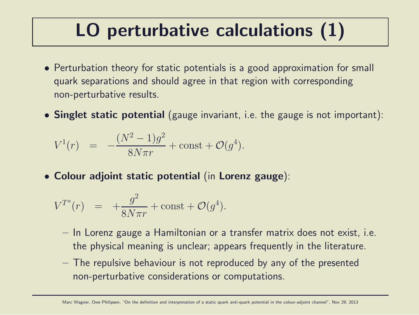### LO perturbative calculations (1)

- Perturbation theory for static potentials is a good approximation for small quark separations and should agree in that region with corresponding non-perturbative results.
- Singlet static potential (gauge invariant, i.e. the gauge is not important):

$$
V^{1}(r) = -\frac{(N^{2} - 1)g^{2}}{8N\pi r} + \text{const} + \mathcal{O}(g^{4}).
$$

• Colour adjoint static potential (in Lorenz gauge):

$$
V^{T^a}(r) = +\frac{g^2}{8N\pi r} + \text{const} + \mathcal{O}(g^4).
$$

- In Lorenz gauge a Hamiltonian or a transfer matrix does not exist, i.e. the physical meaning is unclear; appears frequently in the literature.
- The repulsive behaviour is not reproduced by any of the presented non-perturbative considerations or computations.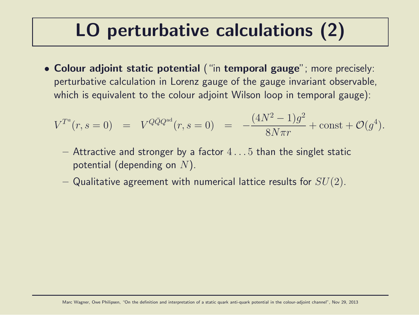### LO perturbative calculations (2)

• Colour adjoint static potential ("in temporal gauge"; more precisely: perturbative calculation in Lorenz gauge of the gauge invariant observable, which is equivalent to the colour adjoint Wilson loop in temporal gauge):

$$
V^{T^a}(r,s=0) = V^{Q\bar{Q}Q^{ad}}(r,s=0) = -\frac{(4N^2-1)g^2}{8N\pi r} + \text{const} + \mathcal{O}(g^4).
$$

- $-$  Attractive and stronger by a factor  $4 \dots 5$  than the singlet static potential (depending on  $N$ ).
- Qualitative agreement with numerical lattice results for  $SU(2)$ .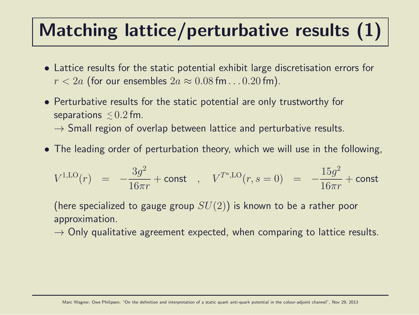# Matching lattice/perturbative results (1)

- Lattice results for the static potential exhibit large discretisation errors for  $r < 2a$  (for our ensembles  $2a \approx 0.08$  fm... 0.20 fm).
- Perturbative results for the static potential are only trustworthy for separations  $\lesssim\!0.2\,$ fm.

 $\rightarrow$  Small region of overlap between lattice and perturbative results.

• The leading order of perturbation theory, which we will use in the following,

$$
V^{1,\text{LO}}(r) \;\; = \;\; -\frac{3g^2}{16\pi r} + \text{const} \quad , \quad V^{T^a,\text{LO}}(r,s=0) \;\; = \;\; -\frac{15g^2}{16\pi r} + \text{const}
$$

(here specialized to gauge group  $SU(2)$ ) is known to be a rather poor approximation.

 $\rightarrow$  Only qualitative agreement expected, when comparing to lattice results.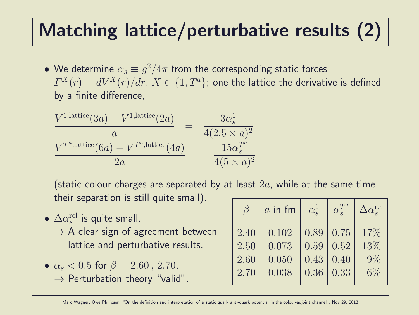### Matching lattice/perturbative results (2)

 $\bullet\,$  We determine  $\alpha_s\equiv g^2/4\pi$  from the corresponding static forces  $F^X(r)=dV^X(r)/dr, \, X \in \{1,T^a\};$  one the lattice the derivative is defined by a finite difference,

$$
\frac{V^{1,\text{lattice}}(3a) - V^{1,\text{lattice}}(2a)}{a} = \frac{3\alpha_s^1}{4(2.5 \times a)^2}
$$
\n
$$
\frac{V^{T^a,\text{lattice}}(6a) - V^{T^a,\text{lattice}}(4a)}{2a} = \frac{15\alpha_s^{T^a}}{4(5 \times a)^2}
$$

(static colour charges are separated by at least  $2a$ , while at the same time their separation is still quite small).

- $\bullet$   $\Delta \alpha_s^{\rm rel}$  $_s^{\text{rel}}$  is quite small.  $\rightarrow$  A clear sign of agreement between lattice and perturbative results.
- $\alpha_s < 0.5$  for  $\beta = 2.60$ , 2.70.  $\rightarrow$  Perturbation theory "valid".

| $\beta$ | $a$ in fm | $\alpha_{s}^{1}$ | $\alpha_{\rm e}^{T^a}$ | $\Delta \alpha_s^{\rm rel}$ |
|---------|-----------|------------------|------------------------|-----------------------------|
| 2.40    | 0.102     | 0.89             | 0.75                   | 17%                         |
| 2.50    | 0.073     | 0.59             | 0.52                   | 13%                         |
| 2.60    | 0.050     | 0.43             | 0.40                   | $.9\%$                      |
| 2.70    | 0.038     | 0.36             | 0.33                   | $6\%$                       |